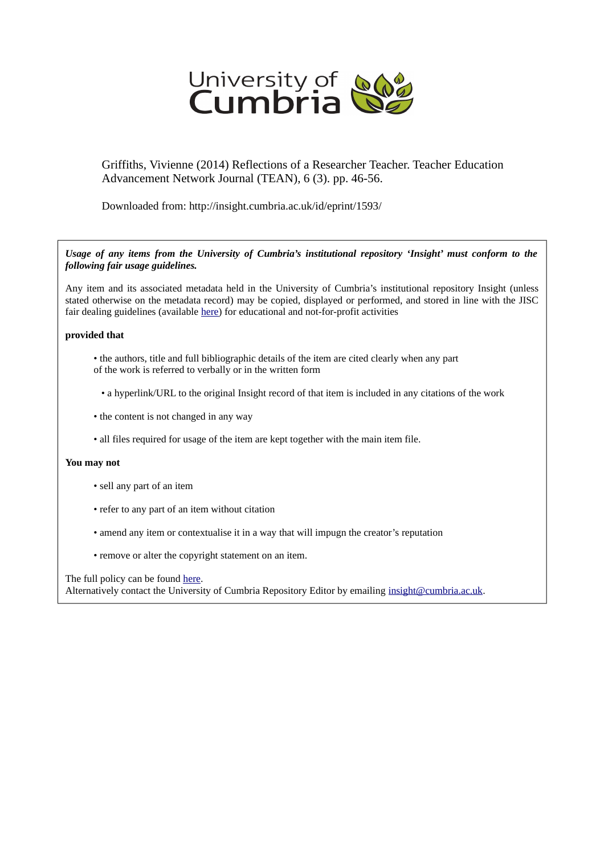

Griffiths, Vivienne (2014) Reflections of a Researcher Teacher. Teacher Education Advancement Network Journal (TEAN), 6 (3). pp. 46-56.

Downloaded from: http://insight.cumbria.ac.uk/id/eprint/1593/

*Usage of any items from the University of Cumbria's institutional repository 'Insight' must conform to the following fair usage guidelines.*

Any item and its associated metadata held in the University of Cumbria's institutional repository Insight (unless stated otherwise on the metadata record) may be copied, displayed or performed, and stored in line with the JISC fair dealing guidelines (available [here\)](http://www.ukoln.ac.uk/services/elib/papers/pa/fair/) for educational and not-for-profit activities

## **provided that**

- the authors, title and full bibliographic details of the item are cited clearly when any part of the work is referred to verbally or in the written form
	- a hyperlink/URL to the original Insight record of that item is included in any citations of the work
- the content is not changed in any way
- all files required for usage of the item are kept together with the main item file.

## **You may not**

- sell any part of an item
- refer to any part of an item without citation
- amend any item or contextualise it in a way that will impugn the creator's reputation
- remove or alter the copyright statement on an item.

The full policy can be found [here.](http://insight.cumbria.ac.uk/legal.html#section5)

Alternatively contact the University of Cumbria Repository Editor by emailing [insight@cumbria.ac.uk.](mailto:insight@cumbria.ac.uk)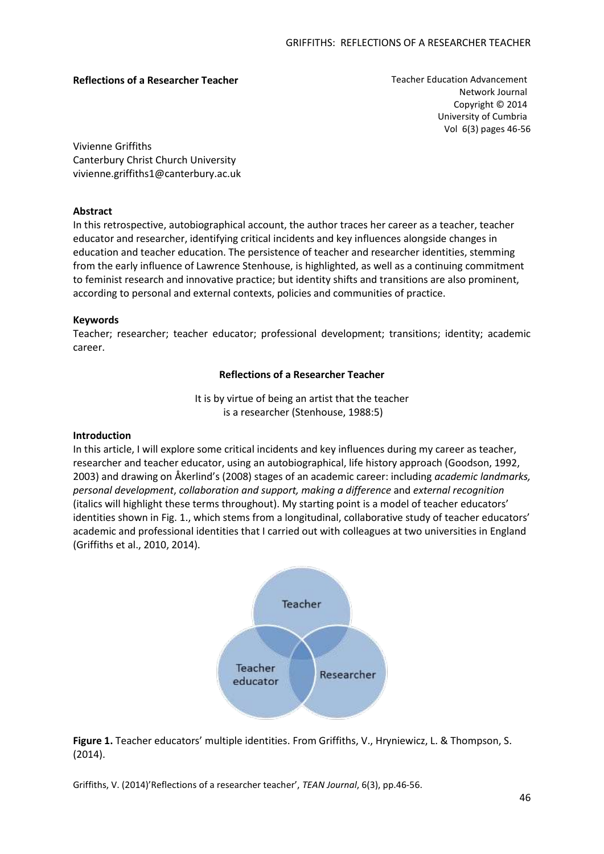## **Reflections of a Researcher Teacher** Teacher Education Advancement

Network Journal Copyright © 2014 University of Cumbria Vol 6(3) pages 46-56

Vivienne Griffiths Canterbury Christ Church University vivienne.griffiths1@canterbury.ac.uk

## **Abstract**

In this retrospective, autobiographical account, the author traces her career as a teacher, teacher educator and researcher, identifying critical incidents and key influences alongside changes in education and teacher education. The persistence of teacher and researcher identities, stemming from the early influence of Lawrence Stenhouse, is highlighted, as well as a continuing commitment to feminist research and innovative practice; but identity shifts and transitions are also prominent, according to personal and external contexts, policies and communities of practice.

## **Keywords**

Teacher; researcher; teacher educator; professional development; transitions; identity; academic career.

## **Reflections of a Researcher Teacher**

It is by virtue of being an artist that the teacher is a researcher (Stenhouse, 1988:5)

## **Introduction**

In this article, I will explore some critical incidents and key influences during my career as teacher, researcher and teacher educator, using an autobiographical, life history approach (Goodson, 1992, 2003) and drawing on Åkerlind's (2008) stages of an academic career: including *academic landmarks, personal development*, *collaboration and support, making a difference* and *external recognition*  (italics will highlight these terms throughout). My starting point is a model of teacher educators' identities shown in Fig. 1., which stems from a longitudinal, collaborative study of teacher educators' academic and professional identities that I carried out with colleagues at two universities in England (Griffiths et al., 2010, 2014).



**Figure 1.** Teacher educators' multiple identities. From Griffiths, V., Hryniewicz, L. & Thompson, S. (2014).

Griffiths, V. (2014)'Reflections of a researcher teacher', *TEAN Journal*, 6(3), pp.46-56.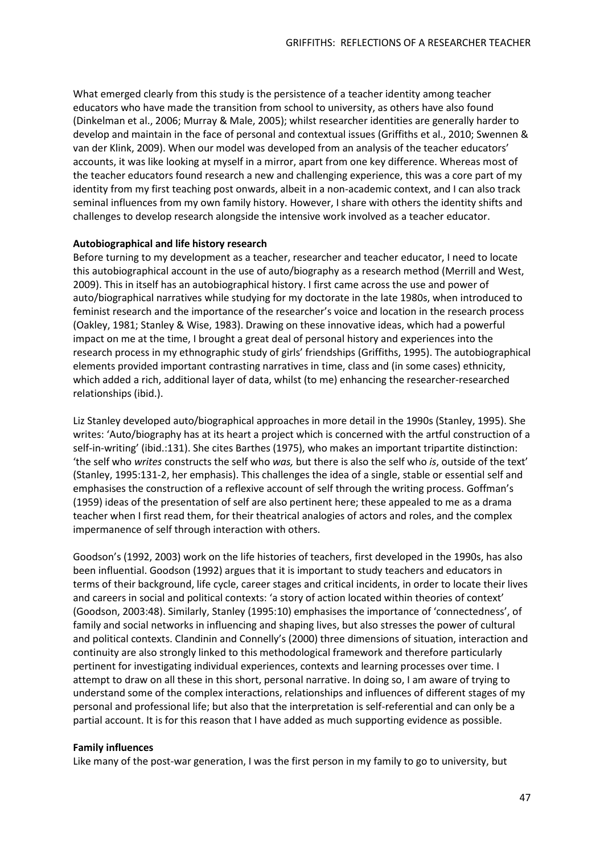What emerged clearly from this study is the persistence of a teacher identity among teacher educators who have made the transition from school to university, as others have also found (Dinkelman et al., 2006; Murray & Male, 2005); whilst researcher identities are generally harder to develop and maintain in the face of personal and contextual issues (Griffiths et al., 2010; Swennen & van der Klink, 2009). When our model was developed from an analysis of the teacher educators' accounts, it was like looking at myself in a mirror, apart from one key difference. Whereas most of the teacher educators found research a new and challenging experience, this was a core part of my identity from my first teaching post onwards, albeit in a non-academic context, and I can also track seminal influences from my own family history. However, I share with others the identity shifts and challenges to develop research alongside the intensive work involved as a teacher educator.

## **Autobiographical and life history research**

Before turning to my development as a teacher, researcher and teacher educator, I need to locate this autobiographical account in the use of auto/biography as a research method (Merrill and West, 2009). This in itself has an autobiographical history. I first came across the use and power of auto/biographical narratives while studying for my doctorate in the late 1980s, when introduced to feminist research and the importance of the researcher's voice and location in the research process (Oakley, 1981; Stanley & Wise, 1983). Drawing on these innovative ideas, which had a powerful impact on me at the time, I brought a great deal of personal history and experiences into the research process in my ethnographic study of girls' friendships (Griffiths, 1995). The autobiographical elements provided important contrasting narratives in time, class and (in some cases) ethnicity, which added a rich, additional layer of data, whilst (to me) enhancing the researcher-researched relationships (ibid.).

Liz Stanley developed auto/biographical approaches in more detail in the 1990s (Stanley, 1995). She writes: 'Auto/biography has at its heart a project which is concerned with the artful construction of a self-in-writing' (ibid.:131). She cites Barthes (1975), who makes an important tripartite distinction: 'the self who *writes* constructs the self who *was,* but there is also the self who *is*, outside of the text' (Stanley, 1995:131-2, her emphasis). This challenges the idea of a single, stable or essential self and emphasises the construction of a reflexive account of self through the writing process. Goffman's (1959) ideas of the presentation of self are also pertinent here; these appealed to me as a drama teacher when I first read them, for their theatrical analogies of actors and roles, and the complex impermanence of self through interaction with others.

Goodson's (1992, 2003) work on the life histories of teachers, first developed in the 1990s, has also been influential. Goodson (1992) argues that it is important to study teachers and educators in terms of their background, life cycle, career stages and critical incidents, in order to locate their lives and careers in social and political contexts: 'a story of action located within theories of context' (Goodson, 2003:48). Similarly, Stanley (1995:10) emphasises the importance of 'connectedness', of family and social networks in influencing and shaping lives, but also stresses the power of cultural and political contexts. Clandinin and Connelly's (2000) three dimensions of situation, interaction and continuity are also strongly linked to this methodological framework and therefore particularly pertinent for investigating individual experiences, contexts and learning processes over time. I attempt to draw on all these in this short, personal narrative. In doing so, I am aware of trying to understand some of the complex interactions, relationships and influences of different stages of my personal and professional life; but also that the interpretation is self-referential and can only be a partial account. It is for this reason that I have added as much supporting evidence as possible.

## **Family influences**

Like many of the post-war generation, I was the first person in my family to go to university, but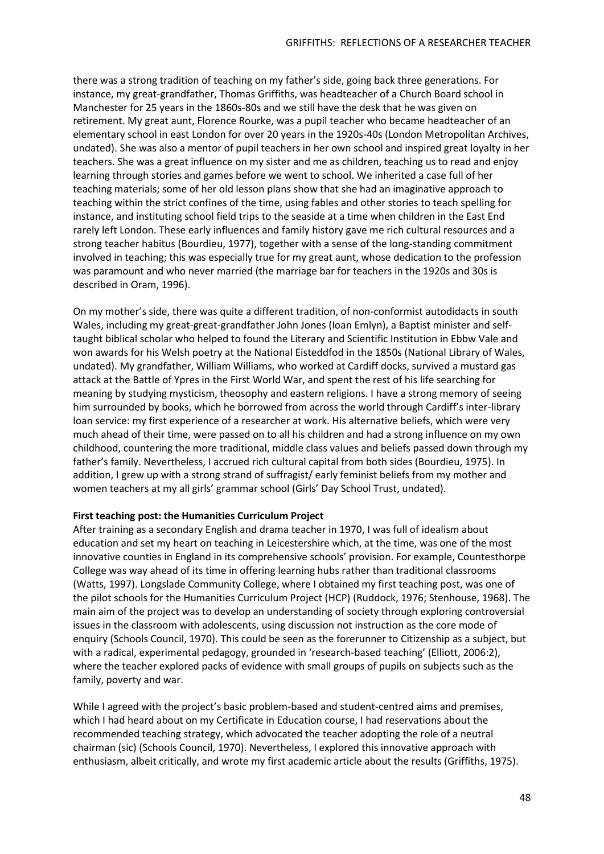there was a strong tradition of teaching on my father's side, going back three generations. For instance, my great-grandfather, Thomas Griffiths, was headteacher of a Church Board school in Manchester for 25 years in the 1860s-80s and we still have the desk that he was given on retirement. My great aunt, Florence Rourke, was a pupil teacher who became headteacher of an elementary school in east London for over 20 years in the 1920s-40s (London Metropolitan Archives, undated). She was also a mentor of pupil teachers in her own school and inspired great loyalty in her teachers. She was a great influence on my sister and me as children, teaching us to read and enjoy learning through stories and games before we went to school. We inherited a case full of her teaching materials; some of her old lesson plans show that she had an imaginative approach to teaching within the strict confines of the time, using fables and other stories to teach spelling for instance, and instituting school field trips to the seaside at a time when children in the East End rarely left London. These early influences and family history gave me rich cultural resources and a strong teacher habitus (Bourdieu, 1977), together with a sense of the long-standing commitment involved in teaching; this was especially true for my great aunt, whose dedication to the profession was paramount and who never married (the marriage bar for teachers in the 1920s and 30s is described in Oram, 1996).

On my mother's side, there was quite a different tradition, of non-conformist autodidacts in south Wales, including my great-great-grandfather John Jones (Ioan Emlyn), a Baptist minister and selftaught biblical scholar who helped to found the Literary and Scientific Institution in Ebbw Vale and won awards for his Welsh poetry at the National Eisteddfod in the 1850s (National Library of Wales, undated). My grandfather, William Williams, who worked at Cardiff docks, survived a mustard gas attack at the Battle of Ypres in the First World War, and spent the rest of his life searching for meaning by studying mysticism, theosophy and eastern religions. I have a strong memory of seeing him surrounded by books, which he borrowed from across the world through Cardiff's inter-library loan service: my first experience of a researcher at work. His alternative beliefs, which were very much ahead of their time, were passed on to all his children and had a strong influence on my own childhood, countering the more traditional, middle class values and beliefs passed down through my father's family. Nevertheless, I accrued rich cultural capital from both sides (Bourdieu, 1975). In addition, I grew up with a strong strand of suffragist/ early feminist beliefs from my mother and women teachers at my all girls' grammar school (Girls' Day School Trust, undated).

## **First teaching post: the Humanities Curriculum Project**

After training as a secondary English and drama teacher in 1970, I was full of idealism about education and set my heart on teaching in Leicestershire which, at the time, was one of the most innovative counties in England in its comprehensive schools' provision. For example, Countesthorpe College was way ahead of its time in offering learning hubs rather than traditional classrooms (Watts, 1997). Longslade Community College, where I obtained my first teaching post, was one of the pilot schools for the Humanities Curriculum Project (HCP) (Ruddock, 1976; Stenhouse, 1968). The main aim of the project was to develop an understanding of society through exploring controversial issues in the classroom with adolescents, using discussion not instruction as the core mode of enquiry (Schools Council, 1970). This could be seen as the forerunner to Citizenship as a subject, but with a radical, experimental pedagogy, grounded in 'research-based teaching' (Elliott, 2006:2), where the teacher explored packs of evidence with small groups of pupils on subjects such as the family, poverty and war.

While I agreed with the project's basic problem-based and student-centred aims and premises, which I had heard about on my Certificate in Education course, I had reservations about the recommended teaching strategy, which advocated the teacher adopting the role of a neutral chairman (sic) (Schools Council, 1970). Nevertheless, I explored this innovative approach with enthusiasm, albeit critically, and wrote my first academic article about the results (Griffiths, 1975).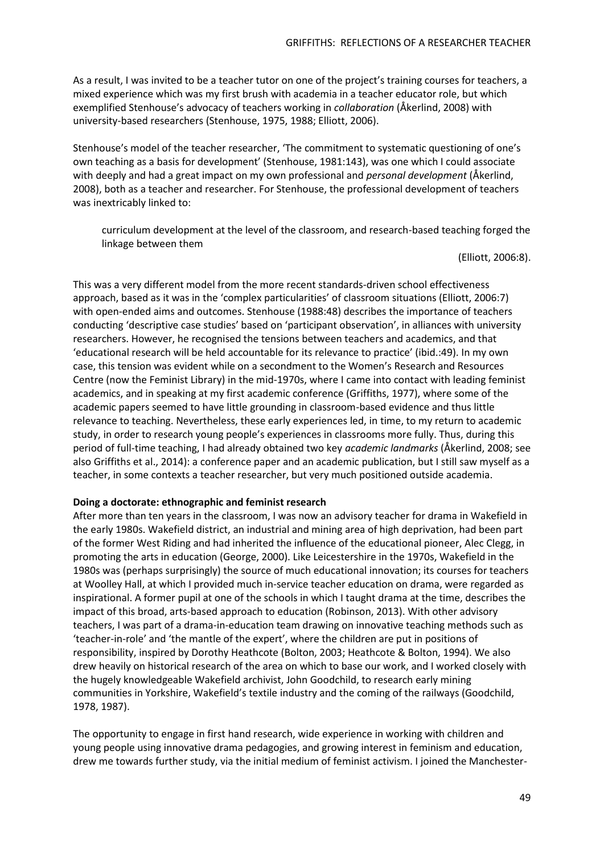As a result, I was invited to be a teacher tutor on one of the project's training courses for teachers, a mixed experience which was my first brush with academia in a teacher educator role, but which exemplified Stenhouse's advocacy of teachers working in *collaboration* (Åkerlind, 2008) with university-based researchers (Stenhouse, 1975, 1988; Elliott, 2006).

Stenhouse's model of the teacher researcher, 'The commitment to systematic questioning of one's own teaching as a basis for development' (Stenhouse, 1981:143), was one which I could associate with deeply and had a great impact on my own professional and *personal development* (Åkerlind, 2008), both as a teacher and researcher. For Stenhouse, the professional development of teachers was inextricably linked to:

curriculum development at the level of the classroom, and research-based teaching forged the linkage between them

(Elliott, 2006:8).

This was a very different model from the more recent standards-driven school effectiveness approach, based as it was in the 'complex particularities' of classroom situations (Elliott, 2006:7) with open-ended aims and outcomes. Stenhouse (1988:48) describes the importance of teachers conducting 'descriptive case studies' based on 'participant observation', in alliances with university researchers. However, he recognised the tensions between teachers and academics, and that 'educational research will be held accountable for its relevance to practice' (ibid.:49). In my own case, this tension was evident while on a secondment to the Women's Research and Resources Centre (now the Feminist Library) in the mid-1970s, where I came into contact with leading feminist academics, and in speaking at my first academic conference (Griffiths, 1977), where some of the academic papers seemed to have little grounding in classroom-based evidence and thus little relevance to teaching. Nevertheless, these early experiences led, in time, to my return to academic study, in order to research young people's experiences in classrooms more fully. Thus, during this period of full-time teaching, I had already obtained two key *academic landmarks* (Åkerlind, 2008; see also Griffiths et al., 2014): a conference paper and an academic publication, but I still saw myself as a teacher, in some contexts a teacher researcher, but very much positioned outside academia.

## **Doing a doctorate: ethnographic and feminist research**

After more than ten years in the classroom, I was now an advisory teacher for drama in Wakefield in the early 1980s. Wakefield district, an industrial and mining area of high deprivation, had been part of the former West Riding and had inherited the influence of the educational pioneer, Alec Clegg, in promoting the arts in education (George, 2000). Like Leicestershire in the 1970s, Wakefield in the 1980s was (perhaps surprisingly) the source of much educational innovation; its courses for teachers at Woolley Hall, at which I provided much in-service teacher education on drama, were regarded as inspirational. A former pupil at one of the schools in which I taught drama at the time, describes the impact of this broad, arts-based approach to education (Robinson, 2013). With other advisory teachers, I was part of a drama-in-education team drawing on innovative teaching methods such as 'teacher-in-role' and 'the mantle of the expert', where the children are put in positions of responsibility, inspired by Dorothy Heathcote (Bolton, 2003; Heathcote & Bolton, 1994). We also drew heavily on historical research of the area on which to base our work, and I worked closely with the hugely knowledgeable Wakefield archivist, John Goodchild, to research early mining communities in Yorkshire, Wakefield's textile industry and the coming of the railways (Goodchild, 1978, 1987).

The opportunity to engage in first hand research, wide experience in working with children and young people using innovative drama pedagogies, and growing interest in feminism and education, drew me towards further study, via the initial medium of feminist activism. I joined the Manchester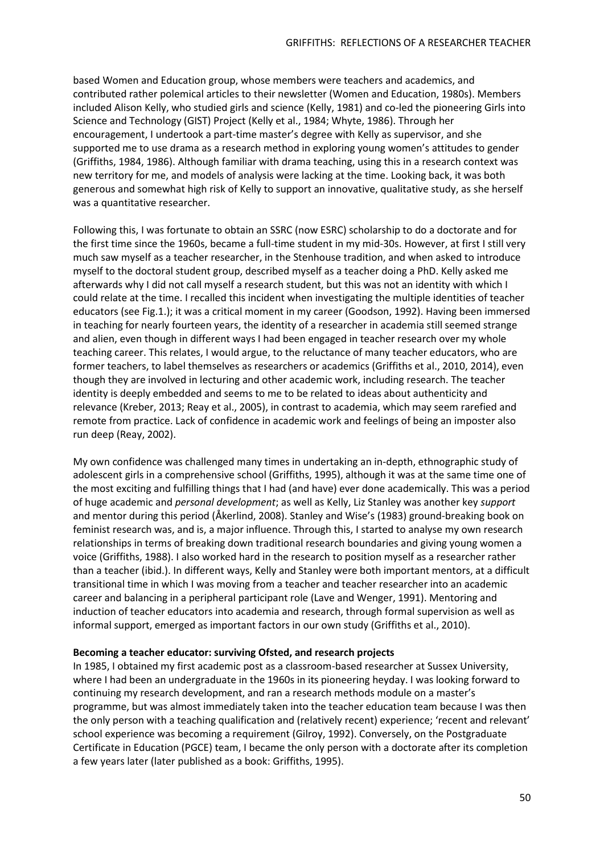based Women and Education group, whose members were teachers and academics, and contributed rather polemical articles to their newsletter (Women and Education, 1980s). Members included Alison Kelly, who studied girls and science (Kelly, 1981) and co-led the pioneering Girls into Science and Technology (GIST) Project (Kelly et al., 1984; Whyte, 1986). Through her encouragement, I undertook a part-time master's degree with Kelly as supervisor, and she supported me to use drama as a research method in exploring young women's attitudes to gender (Griffiths, 1984, 1986). Although familiar with drama teaching, using this in a research context was new territory for me, and models of analysis were lacking at the time. Looking back, it was both generous and somewhat high risk of Kelly to support an innovative, qualitative study, as she herself was a quantitative researcher.

Following this, I was fortunate to obtain an SSRC (now ESRC) scholarship to do a doctorate and for the first time since the 1960s, became a full-time student in my mid-30s. However, at first I still very much saw myself as a teacher researcher, in the Stenhouse tradition, and when asked to introduce myself to the doctoral student group, described myself as a teacher doing a PhD. Kelly asked me afterwards why I did not call myself a research student, but this was not an identity with which I could relate at the time. I recalled this incident when investigating the multiple identities of teacher educators (see Fig.1.); it was a critical moment in my career (Goodson, 1992). Having been immersed in teaching for nearly fourteen years, the identity of a researcher in academia still seemed strange and alien, even though in different ways I had been engaged in teacher research over my whole teaching career. This relates, I would argue, to the reluctance of many teacher educators, who are former teachers, to label themselves as researchers or academics (Griffiths et al., 2010, 2014), even though they are involved in lecturing and other academic work, including research. The teacher identity is deeply embedded and seems to me to be related to ideas about authenticity and relevance (Kreber, 2013; Reay et al., 2005), in contrast to academia, which may seem rarefied and remote from practice. Lack of confidence in academic work and feelings of being an imposter also run deep (Reay, 2002).

My own confidence was challenged many times in undertaking an in-depth, ethnographic study of adolescent girls in a comprehensive school (Griffiths, 1995), although it was at the same time one of the most exciting and fulfilling things that I had (and have) ever done academically. This was a period of huge academic and *personal development*; as well as Kelly, Liz Stanley was another key *support* and mentor during this period (Åkerlind, 2008). Stanley and Wise's (1983) ground-breaking book on feminist research was, and is, a major influence. Through this, I started to analyse my own research relationships in terms of breaking down traditional research boundaries and giving young women a voice (Griffiths, 1988). I also worked hard in the research to position myself as a researcher rather than a teacher (ibid.). In different ways, Kelly and Stanley were both important mentors, at a difficult transitional time in which I was moving from a teacher and teacher researcher into an academic career and balancing in a peripheral participant role (Lave and Wenger, 1991). Mentoring and induction of teacher educators into academia and research, through formal supervision as well as informal support, emerged as important factors in our own study (Griffiths et al., 2010).

# **Becoming a teacher educator: surviving Ofsted, and research projects**

In 1985, I obtained my first academic post as a classroom-based researcher at Sussex University, where I had been an undergraduate in the 1960s in its pioneering heyday. I was looking forward to continuing my research development, and ran a research methods module on a master's programme, but was almost immediately taken into the teacher education team because I was then the only person with a teaching qualification and (relatively recent) experience; 'recent and relevant' school experience was becoming a requirement (Gilroy, 1992). Conversely, on the Postgraduate Certificate in Education (PGCE) team, I became the only person with a doctorate after its completion a few years later (later published as a book: Griffiths, 1995).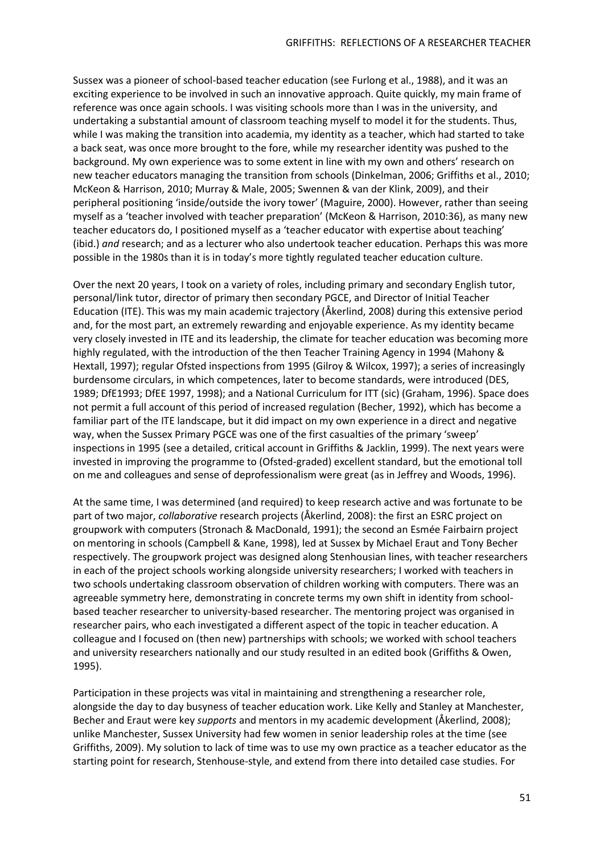Sussex was a pioneer of school-based teacher education (see Furlong et al., 1988), and it was an exciting experience to be involved in such an innovative approach. Quite quickly, my main frame of reference was once again schools. I was visiting schools more than I was in the university, and undertaking a substantial amount of classroom teaching myself to model it for the students. Thus, while I was making the transition into academia, my identity as a teacher, which had started to take a back seat, was once more brought to the fore, while my researcher identity was pushed to the background. My own experience was to some extent in line with my own and others' research on new teacher educators managing the transition from schools (Dinkelman, 2006; Griffiths et al., 2010; McKeon & Harrison, 2010; Murray & Male, 2005; Swennen & van der Klink, 2009), and their peripheral positioning 'inside/outside the ivory tower' (Maguire, 2000). However, rather than seeing myself as a 'teacher involved with teacher preparation' (McKeon & Harrison, 2010:36), as many new teacher educators do, I positioned myself as a 'teacher educator with expertise about teaching' (ibid.) *and* research; and as a lecturer who also undertook teacher education. Perhaps this was more possible in the 1980s than it is in today's more tightly regulated teacher education culture.

Over the next 20 years, I took on a variety of roles, including primary and secondary English tutor, personal/link tutor, director of primary then secondary PGCE, and Director of Initial Teacher Education (ITE). This was my main academic trajectory (Åkerlind, 2008) during this extensive period and, for the most part, an extremely rewarding and enjoyable experience. As my identity became very closely invested in ITE and its leadership, the climate for teacher education was becoming more highly regulated, with the introduction of the then Teacher Training Agency in 1994 (Mahony & Hextall, 1997); regular Ofsted inspections from 1995 (Gilroy & Wilcox, 1997); a series of increasingly burdensome circulars, in which competences, later to become standards, were introduced (DES, 1989; DfE1993; DfEE 1997, 1998); and a National Curriculum for ITT (sic) (Graham, 1996). Space does not permit a full account of this period of increased regulation (Becher, 1992), which has become a familiar part of the ITE landscape, but it did impact on my own experience in a direct and negative way, when the Sussex Primary PGCE was one of the first casualties of the primary 'sweep' inspections in 1995 (see a detailed, critical account in Griffiths & Jacklin, 1999). The next years were invested in improving the programme to (Ofsted-graded) excellent standard, but the emotional toll on me and colleagues and sense of deprofessionalism were great (as in Jeffrey and Woods, 1996).

At the same time, I was determined (and required) to keep research active and was fortunate to be part of two major, *collaborative* research projects (Åkerlind, 2008): the first an ESRC project on groupwork with computers (Stronach & MacDonald, 1991); the second an Esmée Fairbairn project on mentoring in schools (Campbell & Kane, 1998), led at Sussex by Michael Eraut and Tony Becher respectively. The groupwork project was designed along Stenhousian lines, with teacher researchers in each of the project schools working alongside university researchers; I worked with teachers in two schools undertaking classroom observation of children working with computers. There was an agreeable symmetry here, demonstrating in concrete terms my own shift in identity from schoolbased teacher researcher to university-based researcher. The mentoring project was organised in researcher pairs, who each investigated a different aspect of the topic in teacher education. A colleague and I focused on (then new) partnerships with schools; we worked with school teachers and university researchers nationally and our study resulted in an edited book (Griffiths & Owen, 1995).

Participation in these projects was vital in maintaining and strengthening a researcher role, alongside the day to day busyness of teacher education work. Like Kelly and Stanley at Manchester, Becher and Eraut were key *supports* and mentors in my academic development (Åkerlind, 2008); unlike Manchester, Sussex University had few women in senior leadership roles at the time (see Griffiths, 2009). My solution to lack of time was to use my own practice as a teacher educator as the starting point for research, Stenhouse-style, and extend from there into detailed case studies. For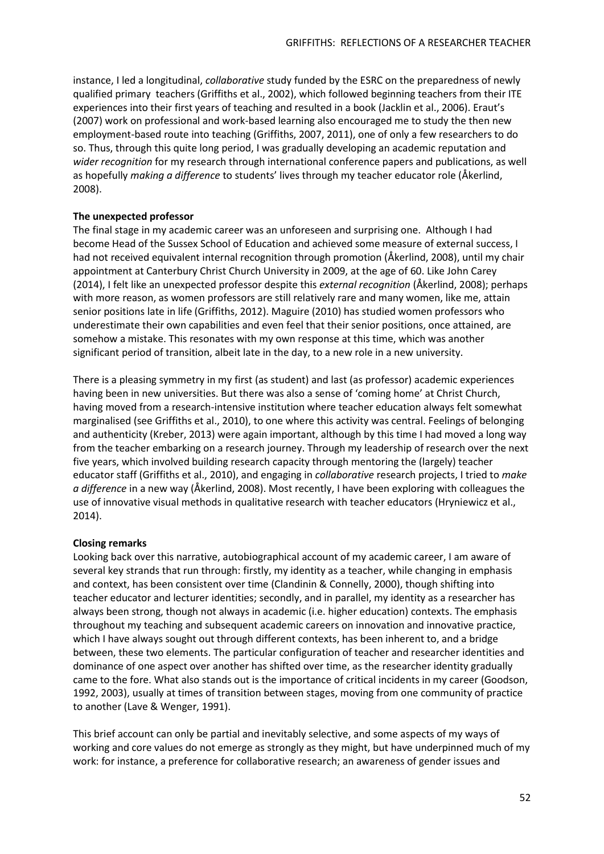instance, I led a longitudinal, *collaborative* study funded by the ESRC on the preparedness of newly qualified primary teachers (Griffiths et al., 2002), which followed beginning teachers from their ITE experiences into their first years of teaching and resulted in a book (Jacklin et al., 2006). Eraut's (2007) work on professional and work-based learning also encouraged me to study the then new employment-based route into teaching (Griffiths, 2007, 2011), one of only a few researchers to do so. Thus, through this quite long period, I was gradually developing an academic reputation and *wider recognition* for my research through international conference papers and publications, as well as hopefully *making a difference* to students' lives through my teacher educator role (Åkerlind, 2008).

## **The unexpected professor**

The final stage in my academic career was an unforeseen and surprising one. Although I had become Head of the Sussex School of Education and achieved some measure of external success, I had not received equivalent internal recognition through promotion (Åkerlind, 2008), until my chair appointment at Canterbury Christ Church University in 2009, at the age of 60. Like John Carey (2014), I felt like an unexpected professor despite this *external recognition* (Åkerlind, 2008); perhaps with more reason, as women professors are still relatively rare and many women, like me, attain senior positions late in life (Griffiths, 2012). Maguire (2010) has studied women professors who underestimate their own capabilities and even feel that their senior positions, once attained, are somehow a mistake. This resonates with my own response at this time, which was another significant period of transition, albeit late in the day, to a new role in a new university.

There is a pleasing symmetry in my first (as student) and last (as professor) academic experiences having been in new universities. But there was also a sense of 'coming home' at Christ Church, having moved from a research-intensive institution where teacher education always felt somewhat marginalised (see Griffiths et al., 2010), to one where this activity was central. Feelings of belonging and authenticity (Kreber, 2013) were again important, although by this time I had moved a long way from the teacher embarking on a research journey. Through my leadership of research over the next five years, which involved building research capacity through mentoring the (largely) teacher educator staff (Griffiths et al., 2010), and engaging in *collaborative* research projects, I tried to *make a difference* in a new way (Åkerlind, 2008). Most recently, I have been exploring with colleagues the use of innovative visual methods in qualitative research with teacher educators (Hryniewicz et al., 2014).

#### **Closing remarks**

Looking back over this narrative, autobiographical account of my academic career, I am aware of several key strands that run through: firstly, my identity as a teacher, while changing in emphasis and context, has been consistent over time (Clandinin & Connelly, 2000), though shifting into teacher educator and lecturer identities; secondly, and in parallel, my identity as a researcher has always been strong, though not always in academic (i.e. higher education) contexts. The emphasis throughout my teaching and subsequent academic careers on innovation and innovative practice, which I have always sought out through different contexts, has been inherent to, and a bridge between, these two elements. The particular configuration of teacher and researcher identities and dominance of one aspect over another has shifted over time, as the researcher identity gradually came to the fore. What also stands out is the importance of critical incidents in my career (Goodson, 1992, 2003), usually at times of transition between stages, moving from one community of practice to another (Lave & Wenger, 1991).

This brief account can only be partial and inevitably selective, and some aspects of my ways of working and core values do not emerge as strongly as they might, but have underpinned much of my work: for instance, a preference for collaborative research; an awareness of gender issues and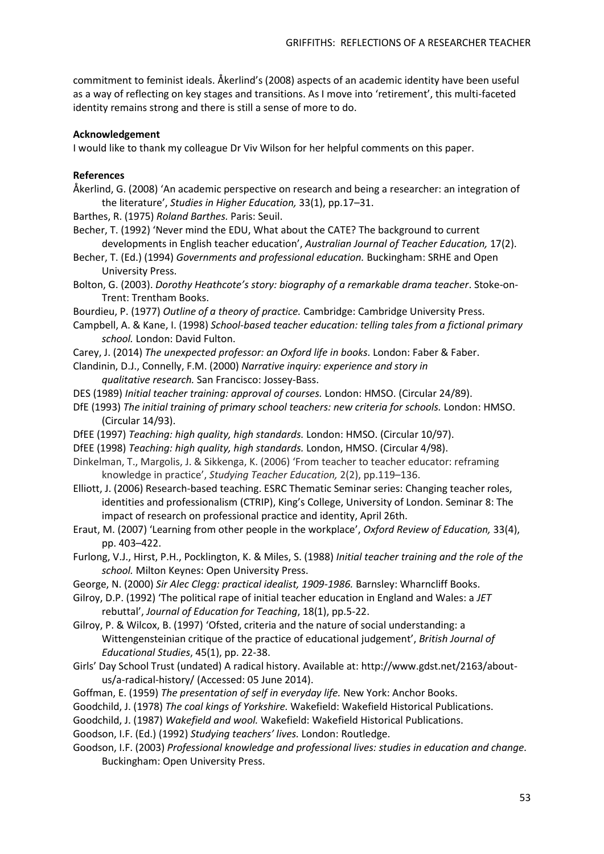commitment to feminist ideals. Åkerlind's (2008) aspects of an academic identity have been useful as a way of reflecting on key stages and transitions. As I move into 'retirement', this multi-faceted identity remains strong and there is still a sense of more to do.

## **Acknowledgement**

I would like to thank my colleague Dr Viv Wilson for her helpful comments on this paper.

## **References**

- Åkerlind, G. (2008) 'An academic perspective on research and being a researcher: an integration of the literature', *Studies in Higher Education,* 33(1), pp.17–31.
- Barthes, R. (1975) *Roland Barthes.* Paris: Seuil.
- Becher, T. (1992) 'Never mind the EDU, What about the CATE? The background to current developments in English teacher education', *Australian Journal of Teacher Education,* 17(2).
- Becher, T. (Ed.) (1994) *Governments and professional education.* Buckingham: SRHE and Open University Press.
- Bolton, G. (2003). *Dorothy Heathcote's story: biography of a remarkable drama teacher*. Stoke-on-Trent: Trentham Books.
- Bourdieu, P. (1977) *Outline of a theory of practice.* Cambridge: Cambridge University Press.
- Campbell, A. & Kane, I. (1998) *School-based teacher education: telling tales from a fictional primary school.* London: David Fulton.
- Carey, J. (2014) *The unexpected professor: an Oxford life in books.* London: Faber & Faber.
- Clandinin, D.J., Connelly, F.M. (2000) *Narrative inquiry: experience and story in*
	- *qualitative research.* San Francisco: Jossey-Bass.
- DES (1989) *Initial teacher training: approval of courses.* London: HMSO. (Circular 24/89).
- DfE (1993) *The initial training of primary school teachers: new criteria for schools.* London: HMSO. (Circular 14/93).
- DfEE (1997) *Teaching: high quality, high standards.* London: HMSO. (Circular 10/97).
- DfEE (1998) *Teaching: high quality, high standards.* London, HMSO. (Circular 4/98).
- Dinkelman, T., Margolis, J. & Sikkenga, K. (2006) 'From teacher to teacher educator: reframing knowledge in practice', *Studying Teacher Education,* 2(2), pp.119–136.
- Elliott, J. (2006) Research-based teaching. ESRC Thematic Seminar series: Changing teacher roles, identities and professionalism (CTRIP), King's College, University of London. Seminar 8: The impact of research on professional practice and identity, April 26th.
- Eraut, M. (2007) 'Learning from other people in the workplace', *Oxford Review of Education,* 33(4), pp. 403–422.
- Furlong, V.J., Hirst, P.H., Pocklington, K. & Miles, S. (1988) *Initial teacher training and the role of the school.* Milton Keynes: Open University Press.
- George, N. (2000) *Sir Alec Clegg: practical idealist, 1909-1986.* Barnsley: Wharncliff Books.
- Gilroy, D.P. (1992) 'The political rape of initial teacher education in England and Wales: a *JET* rebuttal', *Journal of Education for Teaching*, 18(1), pp.5-22.
- Gilroy, P. & Wilcox, B. (1997) 'Ofsted, criteria and the nature of social understanding: a Wittengensteinian critique of the practice of educational judgement', *British Journal of Educational Studies*, 45(1), pp. 22-38.
- Girls' Day School Trust (undated) A radical history. Available at: [http://www.gdst.net/2163/about](http://www.gdst.net/2163/about-us/a-radical-history/)[us/a-radical-history/](http://www.gdst.net/2163/about-us/a-radical-history/) (Accessed: 05 June 2014).
- Goffman, E. (1959) *The presentation of self in everyday life.* New York: Anchor Books.
- Goodchild, J. (1978) *The coal kings of Yorkshire.* Wakefield: Wakefield Historical Publications.
- Goodchild, J. (1987) *Wakefield and wool.* Wakefield: Wakefield Historical Publications.
- Goodson, I.F. (Ed.) (1992) *Studying teachers' lives.* London: Routledge.
- Goodson, I.F. (2003) *Professional knowledge and professional lives: studies in education and change.* Buckingham: Open University Press.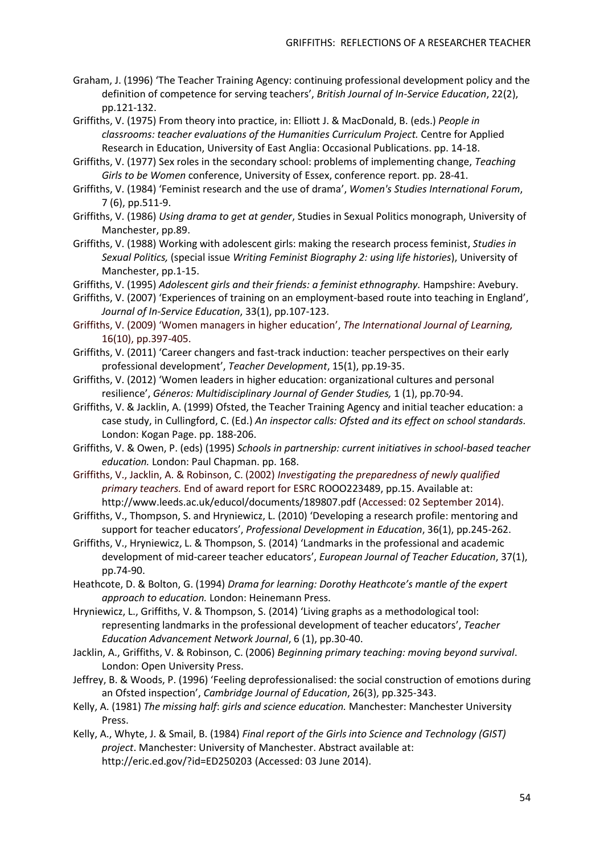- Graham, J. (1996) 'The Teacher Training Agency: continuing professional development policy and the definition of competence for serving teachers', *British Journal of In-Service Education*, 22(2), pp.121-132.
- Griffiths, V. (1975) From theory into practice, in: Elliott J. & MacDonald, B. (eds.) *People in classrooms: teacher evaluations of the Humanities Curriculum Project.* Centre for Applied Research in Education, University of East Anglia: Occasional Publications. pp. 14-18.
- Griffiths, V. (1977) Sex roles in the secondary school: problems of implementing change, *Teaching Girls to be Women* conference, University of Essex, conference report. pp. 28-41.
- Griffiths, V. (1984) 'Feminist research and the use of drama', *Women's Studies International Forum*, 7 (6), pp.511-9.
- Griffiths, V. (1986) *Using drama to get at gender*, Studies in Sexual Politics monograph, University of Manchester, pp.89.
- Griffiths, V. (1988) Working with adolescent girls: making the research process feminist, *Studies in Sexual Politics,* (special issue *Writing Feminist Biography 2: using life histories*), University of Manchester, pp.1-15.
- Griffiths, V. (1995) *Adolescent girls and their friends: a feminist ethnography.* Hampshire: Avebury.
- Griffiths, V. (2007) 'Experiences of training on an employment-based route into teaching in England', *Journal of In-Service Education*, 33(1), pp.107-123.
- Griffiths, V. (2009) 'Women managers in higher education', *The International Journal of Learning,*  16(10), pp.397-405.
- Griffiths, V. (2011) 'Career changers and fast-track induction: teacher perspectives on their early professional development', *Teacher Development*, 15(1), pp.19-35.
- Griffiths, V. (2012) 'Women leaders in higher education: organizational cultures and personal resilience', *Géneros: Multidisciplinary Journal of Gender Studies,* 1 (1), pp.70-94.
- Griffiths, V. & Jacklin, A. (1999) Ofsted, the Teacher Training Agency and initial teacher education: a case study, in Cullingford, C. (Ed.) *An inspector calls: Ofsted and its effect on school standards.* London: Kogan Page. pp. 188-206.
- Griffiths, V. & Owen, P. (eds) (1995) *Schools in partnership: current initiatives in school-based teacher education.* London: Paul Chapman. pp. 168.
- Griffiths, V., Jacklin, A. & Robinson, C. (2002) *Investigating the preparedness of newly qualified primary teachers.* End of award report for ESRC ROOO223489, pp.15. Available at: <http://www.leeds.ac.uk/educol/documents/189807.pdf> (Accessed: 02 September 2014).
- Griffiths, V., Thompson, S. and Hryniewicz, L. (2010) 'Developing a research profile: mentoring and support for teacher educators', *Professional Development in Education*, 36(1), pp.245-262.
- Griffiths, V., Hryniewicz, L. & Thompson, S. (2014) 'Landmarks in the professional and academic development of mid-career teacher educators', *European Journal of Teacher Education*, 37(1), pp.74-90.
- Heathcote, D. & Bolton, G. (1994) *Drama for learning: Dorothy Heathcote's mantle of the expert approach to education.* London: Heinemann Press.
- Hryniewicz, L., Griffiths, V. & Thompson, S. (2014) 'Living graphs as a methodological tool: representing landmarks in the professional development of teacher educators', *Teacher Education Advancement Network Journal*, 6 (1), pp.30-40.
- Jacklin, A., Griffiths, V. & Robinson, C. (2006) *Beginning primary teaching: moving beyond survival*. London: Open University Press.
- Jeffrey, B. & Woods, P. (1996) 'Feeling deprofessionalised: the social construction of emotions during an Ofsted inspection', *Cambridge Journal of Education*, 26(3), pp.325-343.
- Kelly, A. (1981) *The missing half*: *girls and science education.* Manchester: Manchester University Press.
- Kelly, A., Whyte, J. & Smail, B. (1984) *Final report of the Girls into Science and Technology (GIST) project*. Manchester: University of Manchester. Abstract available at: <http://eric.ed.gov/?id=ED250203> (Accessed: 03 June 2014).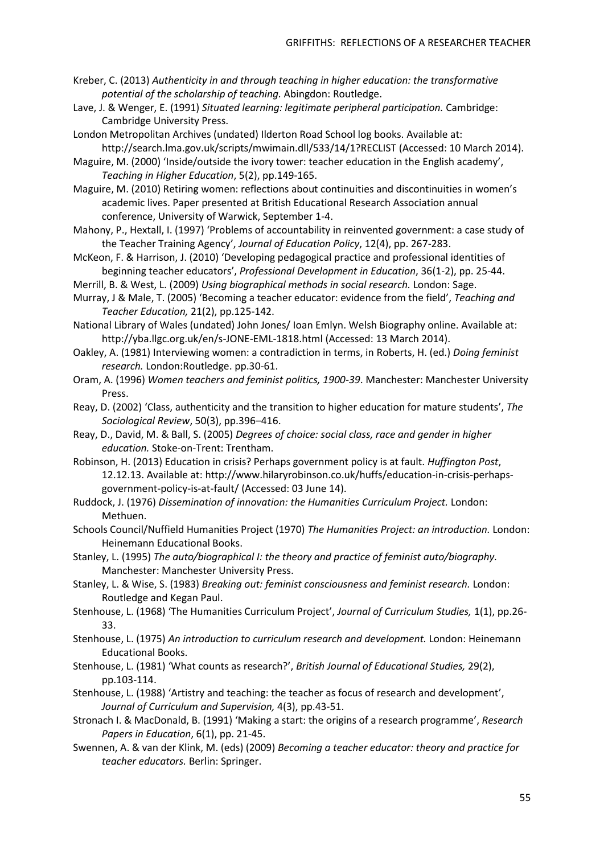- Kreber, C. (2013) *Authenticity in and through teaching in higher education: the transformative potential of the scholarship of teaching.* Abingdon: Routledge.
- Lave, J. & Wenger, E. (1991) *Situated learning: legitimate peripheral participation.* Cambridge: Cambridge University Press.
- London Metropolitan Archives (undated) Ilderton Road School log books. Available at: <http://search.lma.gov.uk/scripts/mwimain.dll/533/14/1?RECLIST> (Accessed: 10 March 2014).
- Maguire, M. (2000) 'Inside/outside the ivory tower: teacher education in the English academy', *Teaching in Higher Education*, 5(2), pp.149-165.
- Maguire, M. (2010) Retiring women: reflections about continuities and discontinuities in women's academic lives. Paper presented at British Educational Research Association annual conference, University of Warwick, September 1-4.
- Mahony, P., Hextall, I. (1997) 'Problems of accountability in reinvented government: a case study of the Teacher Training Agency', *Journal of Education Policy*, 12(4), pp. 267-283.
- McKeon, F. & Harrison, J. (2010) 'Developing pedagogical practice and professional identities of beginning teacher educators', *Professional Development in Education*, 36(1-2), pp. 25-44.
- Merrill, B. & West, L. (2009) *Using biographical methods in social research.* London: Sage.
- Murray, J & Male, T. (2005) 'Becoming a teacher educator: evidence from the field', *Teaching and Teacher Education,* 21(2), pp.125-142.
- National Library of Wales (undated) John Jones/ Ioan Emlyn. Welsh Biography online. Available at: <http://yba.llgc.org.uk/en/s-JONE-EML-1818.html> (Accessed: 13 March 2014).
- Oakley, A. (1981) Interviewing women: a contradiction in terms, in Roberts, H. (ed.) *Doing feminist research.* London:Routledge. pp.30-61.
- Oram, A. (1996) *Women teachers and feminist politics, 1900-39*. Manchester: Manchester University Press.
- Reay, D. (2002) 'Class, authenticity and the transition to higher education for mature students', *The Sociological Review*, 50(3), pp.396–416.
- Reay, D., David, M. & Ball, S. (2005) *Degrees of choice: social class, race and gender in higher education.* Stoke-on-Trent: Trentham.
- Robinson, H. (2013) Education in crisis? Perhaps government policy is at fault. *Huffington Post*, 12.12.13. Available at: [http://www.hilaryrobinson.co.uk/huffs/education-in-crisis-perhaps](http://www.hilaryrobinson.co.uk/huffs/education-in-crisis-perhaps-government-policy-is-at-fault/)[government-policy-is-at-fault/](http://www.hilaryrobinson.co.uk/huffs/education-in-crisis-perhaps-government-policy-is-at-fault/) (Accessed: 03 June 14).
- Ruddock, J. (1976) *Dissemination of innovation: the Humanities Curriculum Project.* London: Methuen.
- Schools Council/Nuffield Humanities Project (1970) *The Humanities Project: an introduction.* London: Heinemann Educational Books.
- Stanley, L. (1995) *The auto/biographical I: the theory and practice of feminist auto/biography.* Manchester: Manchester University Press.
- Stanley, L. & Wise, S. (1983) *Breaking out: feminist consciousness and feminist research.* London: Routledge and Kegan Paul.
- Stenhouse, L. (1968) 'The Humanities Curriculum Project', *Journal of Curriculum Studies,* 1(1), pp.26- 33.
- Stenhouse, L. (1975) *An introduction to curriculum research and development.* London: Heinemann Educational Books.
- Stenhouse, L. (1981) 'What counts as research?', *British Journal of Educational Studies,* 29(2), pp.103-114.
- Stenhouse, L. (1988) 'Artistry and teaching: the teacher as focus of research and development', *Journal of Curriculum and Supervision,* 4(3), pp.43-51.
- Stronach I. & MacDonald, B. (1991) 'Making a start: the origins of a research programme', *Research Papers in Education*, 6(1), pp. 21-45.
- Swennen, A. & van der Klink, M. (eds) (2009) *Becoming a teacher educator: theory and practice for teacher educators.* Berlin: Springer.